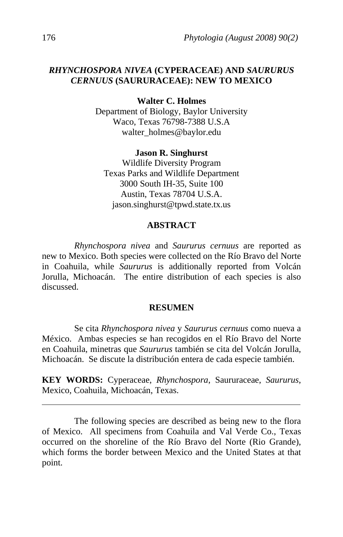# *RHYNCHOSPORA NIVEA* **(CYPERACEAE) AND** *SAURURUS CERNUUS* **(SAURURACEAE): NEW TO MEXICO**

**Walter C. Holmes** 

Department of Biology, Baylor University Waco, Texas 76798-7388 U.S.A walter\_holmes@baylor.edu

### **Jason R. Singhurst**

Wildlife Diversity Program Texas Parks and Wildlife Department 3000 South IH-35, Suite 100 Austin, Texas 78704 U.S.A. jason.singhurst@tpwd.state.tx.us

# **ABSTRACT**

*Rhynchospora nivea* and *Saururus cernuus* are reported as new to Mexico. Both species were collected on the Río Bravo del Norte in Coahuila, while *Saururus* is additionally reported from Volcán Jorulla, Michoacán. The entire distribution of each species is also discussed.

### **RESUMEN**

Se cita *Rhynchospora nivea* y *Saururus cernuus* como nueva a México. Ambas especies se han recogidos en el Río Bravo del Norte en Coahuila, minetras que *Saururus* también se cita del Volcán Jorulla, Michoacán. Se discute la distribución entera de cada especie también.

**KEY WORDS:** Cyperaceae, *Rhynchospora*, Saururaceae, *Saururus*, Mexico, Coahuila, Michoacán, Texas.

The following species are described as being new to the flora of Mexico. All specimens from Coahuila and Val Verde Co., Texas occurred on the shoreline of the Río Bravo del Norte (Rio Grande), which forms the border between Mexico and the United States at that point.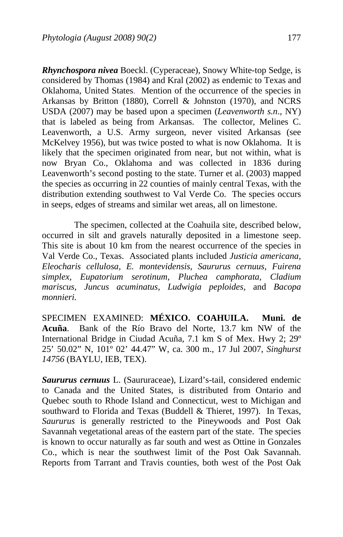*Rhynchospora nivea* Boeckl. (Cyperaceae), Snowy White-top Sedge, is considered by Thomas (1984) and Kral (2002) as endemic to Texas and Oklahoma, United States. Mention of the occurrence of the species in Arkansas by Britton (1880), Correll & Johnston (1970), and NCRS USDA (2007) may be based upon a specimen (*Leavenworth s.n*., NY) that is labeled as being from Arkansas. The collector, Melines C. Leavenworth, a U.S. Army surgeon, never visited Arkansas (see McKelvey 1956), but was twice posted to what is now Oklahoma. It is likely that the specimen originated from near, but not within, what is now Bryan Co., Oklahoma and was collected in 1836 during Leavenworth's second posting to the state. Turner et al. (2003) mapped the species as occurring in 22 counties of mainly central Texas, with the distribution extending southwest to Val Verde Co. The species occurs in seeps, edges of streams and similar wet areas, all on limestone.

 The specimen, collected at the Coahuila site, described below, occurred in silt and gravels naturally deposited in a limestone seep. This site is about 10 km from the nearest occurrence of the species in Val Verde Co., Texas. Associated plants included *Justicia americana, Eleocharis cellulosa, E. montevidensis, Saururus cernuus, Fuirena simplex, Eupatorium serotinum, Pluchea camphorata, Cladium mariscus, Juncus acuminatus, Ludwigia peploides,* and *Bacopa monnieri.* 

SPECIMEN EXAMINED: **MÉXICO. COAHUILA. Muni. de Acuña**. Bank of the Río Bravo del Norte, 13.7 km NW of the International Bridge in Ciudad Acuña, 7.1 km S of Mex. Hwy 2; 29º 25' 50.02" N, 101º 02' 44.47" W, ca. 300 m., 17 Jul 2007, *Singhurst 14756* (BAYLU, IEB, TEX).

*Saururus cernuus* L. (Saururaceae), Lizard's-tail, considered endemic to Canada and the United States, is distributed from Ontario and Quebec south to Rhode Island and Connecticut, west to Michigan and southward to Florida and Texas (Buddell & Thieret, 1997). In Texas, *Saururus* is generally restricted to the Pineywoods and Post Oak Savannah vegetational areas of the eastern part of the state. The species is known to occur naturally as far south and west as Ottine in Gonzales Co., which is near the southwest limit of the Post Oak Savannah. Reports from Tarrant and Travis counties, both west of the Post Oak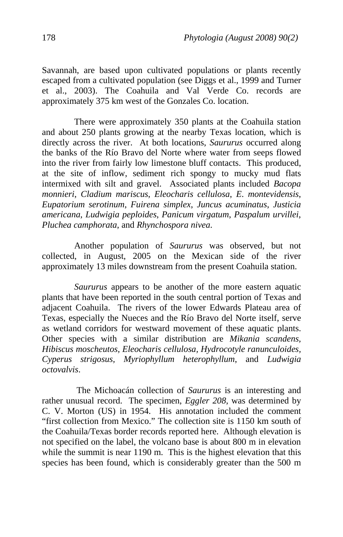Savannah, are based upon cultivated populations or plants recently escaped from a cultivated population (see Diggs et al., 1999 and Turner et al., 2003). The Coahuila and Val Verde Co. records are approximately 375 km west of the Gonzales Co. location.

There were approximately 350 plants at the Coahuila station and about 250 plants growing at the nearby Texas location, which is directly across the river. At both locations, *Saururus* occurred along the banks of the Río Bravo del Norte where water from seeps flowed into the river from fairly low limestone bluff contacts. This produced, at the site of inflow, sediment rich spongy to mucky mud flats intermixed with silt and gravel. Associated plants included *Bacopa monnieri*, *Cladium mariscus*, *Eleocharis cellulosa*, *E*. *montevidensis*, *Eupatorium serotinum*, *Fuirena simplex*, *Juncus acuminatus*, *Justicia americana*, *Ludwigia peploides*, *Panicum virgatum*, *Paspalum urvillei*, *Pluchea camphorata*, and *Rhynchospora nivea*.

Another population of *Saururus* was observed, but not collected, in August, 2005 on the Mexican side of the river approximately 13 miles downstream from the present Coahuila station.

*Saururus* appears to be another of the more eastern aquatic plants that have been reported in the south central portion of Texas and adjacent Coahuila. The rivers of the lower Edwards Plateau area of Texas, especially the Nueces and the Río Bravo del Norte itself, serve as wetland corridors for westward movement of these aquatic plants. Other species with a similar distribution are *Mikania scandens, Hibiscus moscheutos, Eleocharis cellulosa, Hydrocotyle ranunculoides, Cyperus strigosus, Myriophyllum heterophyllum*, and *Ludwigia octovalvis*.

 The Michoacán collection of *Saururus* is an interesting and rather unusual record. The specimen, *Eggler 208*, was determined by C. V. Morton (US) in 1954. His annotation included the comment "first collection from Mexico." The collection site is 1150 km south of the Coahuila/Texas border records reported here. Although elevation is not specified on the label, the volcano base is about 800 m in elevation while the summit is near 1190 m. This is the highest elevation that this species has been found, which is considerably greater than the 500 m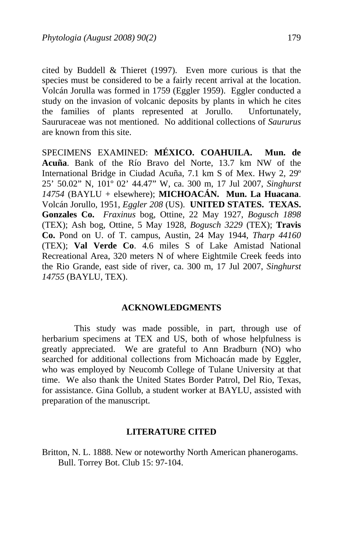cited by Buddell & Thieret (1997). Even more curious is that the species must be considered to be a fairly recent arrival at the location. Volcán Jorulla was formed in 1759 (Eggler 1959). Eggler conducted a study on the invasion of volcanic deposits by plants in which he cites the families of plants represented at Jorullo. Unfortunately, Saururaceae was not mentioned. No additional collections of *Saururus* are known from this site.

SPECIMENS EXAMINED: **MÉXICO. COAHUILA. Mun. de Acuña**. Bank of the Río Bravo del Norte, 13.7 km NW of the International Bridge in Ciudad Acuña, 7.1 km S of Mex. Hwy 2, 29º 25' 50.02" N, 101º 02' 44.47" W, ca. 300 m, 17 Jul 2007, *Singhurst 14754* (BAYLU + elsewhere); **MICHOACÁN. Mun. La Huacana**. Volcán Jorullo, 1951, *Eggler 208* (US). **UNITED STATES. TEXAS. Gonzales Co.** *Fraxinus* bog, Ottine, 22 May 1927, *Bogusch 1898* (TEX); Ash bog, Ottine, 5 May 1928, *Bogusch 3229* (TEX); **Travis Co.** Pond on U. of T. campus, Austin, 24 May 1944, *Tharp 44160* (TEX); **Val Verde Co**. 4.6 miles S of Lake Amistad National Recreational Area, 320 meters N of where Eightmile Creek feeds into the Rio Grande, east side of river, ca. 300 m, 17 Jul 2007, *Singhurst 14755* (BAYLU, TEX).

# **ACKNOWLEDGMENTS**

 This study was made possible, in part, through use of herbarium specimens at TEX and US, both of whose helpfulness is greatly appreciated. We are grateful to Ann Bradburn (NO) who searched for additional collections from Michoacán made by Eggler, who was employed by Neucomb College of Tulane University at that time. We also thank the United States Border Patrol, Del Rio, Texas, for assistance. Gina Gollub, a student worker at BAYLU, assisted with preparation of the manuscript.

### **LITERATURE CITED**

Britton, N. L. 1888. New or noteworthy North American phanerogams. Bull. Torrey Bot. Club 15: 97-104.